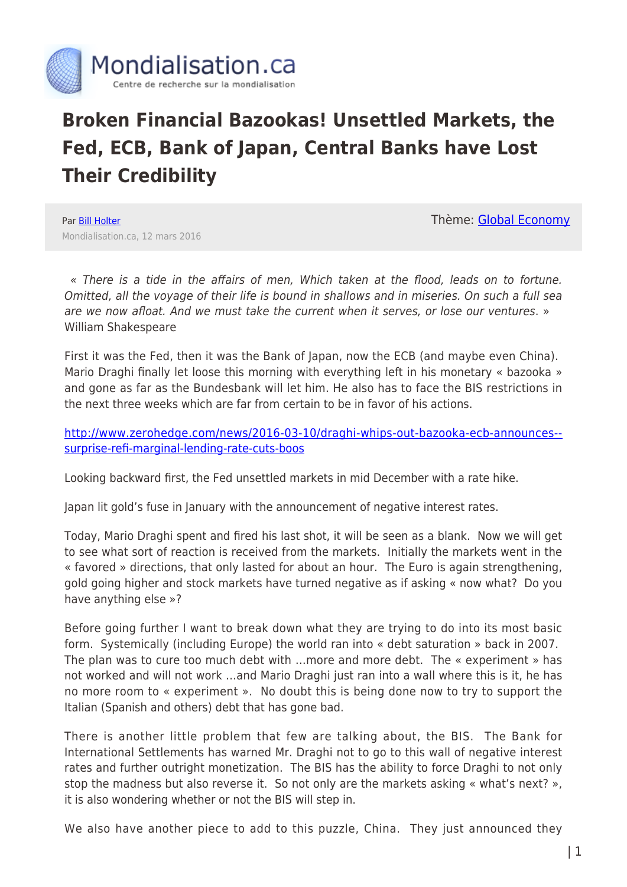

## **Broken Financial Bazookas! Unsettled Markets, the Fed, ECB, Bank of Japan, Central Banks have Lost Their Credibility**

Par **[Bill Holter](https://www.mondialisation.ca/author/holter)** Mondialisation.ca, 12 mars 2016 Thème: [Global Economy](https://www.mondialisation.ca/theme/global-economy)

« There is a tide in the affairs of men, Which taken at the flood, leads on to fortune. Omitted, all the voyage of their life is bound in shallows and in miseries. On such a full sea are we now afloat. And we must take the current when it serves, or lose our ventures. » William Shakespeare

First it was the Fed, then it was the Bank of Japan, now the ECB (and maybe even China). Mario Draghi finally let loose this morning with everything left in his monetary « bazooka » and gone as far as the Bundesbank will let him. He also has to face the BIS restrictions in the next three weeks which are far from certain to be in favor of his actions.

[http://www.zerohedge.com/news/2016-03-10/draghi-whips-out-bazooka-ecb-announces-](http://www.zerohedge.com/news/2016-03-10/draghi-whips-out-bazooka-ecb-announces-surprise-refi-marginal-lending-rate-cuts-boos) [surprise-refi-marginal-lending-rate-cuts-boos](http://www.zerohedge.com/news/2016-03-10/draghi-whips-out-bazooka-ecb-announces-surprise-refi-marginal-lending-rate-cuts-boos)

Looking backward first, the Fed unsettled markets in mid December with a rate hike.

Japan lit gold's fuse in January with the announcement of negative interest rates.

Today, Mario Draghi spent and fired his last shot, it will be seen as a blank. Now we will get to see what sort of reaction is received from the markets. Initially the markets went in the « favored » directions, that only lasted for about an hour. The Euro is again strengthening, gold going higher and stock markets have turned negative as if asking « now what? Do you have anything else »?

Before going further I want to break down what they are trying to do into its most basic form. Systemically (including Europe) the world ran into « debt saturation » back in 2007. The plan was to cure too much debt with …more and more debt. The « experiment » has not worked and will not work …and Mario Draghi just ran into a wall where this is it, he has no more room to « experiment ». No doubt this is being done now to try to support the Italian (Spanish and others) debt that has gone bad.

There is another little problem that few are talking about, the BIS. The Bank for International Settlements has warned Mr. Draghi not to go to this wall of negative interest rates and further outright monetization. The BIS has the ability to force Draghi to not only stop the madness but also reverse it. So not only are the markets asking « what's next? », it is also wondering whether or not the BIS will step in.

We also have another piece to add to this puzzle, China. They just announced they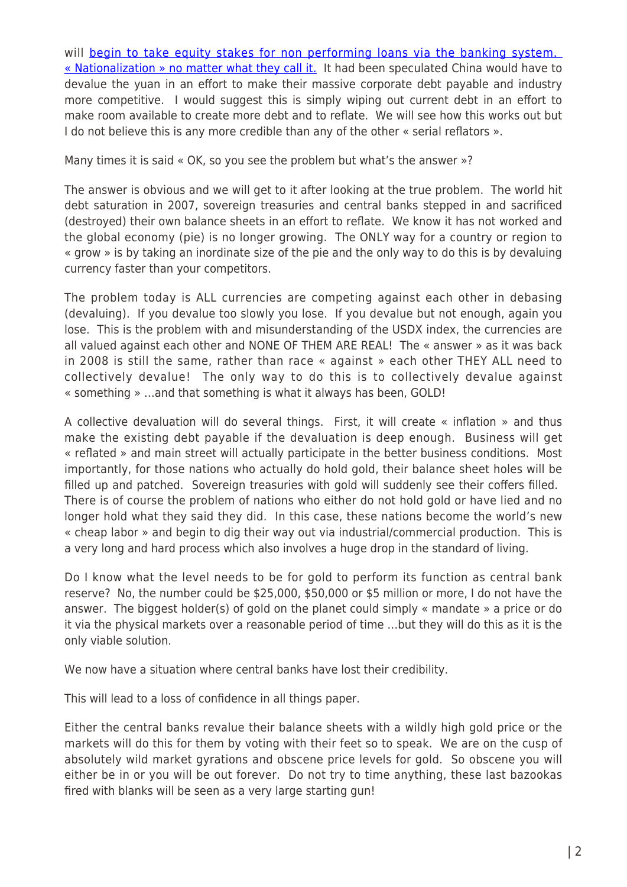will [begin to take equity stakes for non performing loans via the banking system.](http://www.zerohedge.com/news/2016-03-10/china-proposes-unprecedented-nationalization-insolvent-companies-banks-will-equitize)  [« Nationalization » no matter what they call it.](http://www.zerohedge.com/news/2016-03-10/china-proposes-unprecedented-nationalization-insolvent-companies-banks-will-equitize) It had been speculated China would have to devalue the yuan in an effort to make their massive corporate debt payable and industry more competitive. I would suggest this is simply wiping out current debt in an effort to make room available to create more debt and to reflate. We will see how this works out but I do not believe this is any more credible than any of the other « serial reflators ».

Many times it is said « OK, so you see the problem but what's the answer »?

The answer is obvious and we will get to it after looking at the true problem. The world hit debt saturation in 2007, sovereign treasuries and central banks stepped in and sacrificed (destroyed) their own balance sheets in an effort to reflate. We know it has not worked and the global economy (pie) is no longer growing. The ONLY way for a country or region to « grow » is by taking an inordinate size of the pie and the only way to do this is by devaluing currency faster than your competitors.

The problem today is ALL currencies are competing against each other in debasing (devaluing). If you devalue too slowly you lose. If you devalue but not enough, again you lose. This is the problem with and misunderstanding of the USDX index, the currencies are all valued against each other and NONE OF THEM ARE REAL! The « answer » as it was back in 2008 is still the same, rather than race « against » each other THEY ALL need to collectively devalue! The only way to do this is to collectively devalue against « something » …and that something is what it always has been, GOLD!

A collective devaluation will do several things. First, it will create « inflation » and thus make the existing debt payable if the devaluation is deep enough. Business will get « reflated » and main street will actually participate in the better business conditions. Most importantly, for those nations who actually do hold gold, their balance sheet holes will be filled up and patched. Sovereign treasuries with gold will suddenly see their coffers filled. There is of course the problem of nations who either do not hold gold or have lied and no longer hold what they said they did. In this case, these nations become the world's new « cheap labor » and begin to dig their way out via industrial/commercial production. This is a very long and hard process which also involves a huge drop in the standard of living.

Do I know what the level needs to be for gold to perform its function as central bank reserve? No, the number could be \$25,000, \$50,000 or \$5 million or more, I do not have the answer. The biggest holder(s) of gold on the planet could simply « mandate » a price or do it via the physical markets over a reasonable period of time …but they will do this as it is the only viable solution.

We now have a situation where central banks have lost their credibility.

This will lead to a loss of confidence in all things paper.

Either the central banks revalue their balance sheets with a wildly high gold price or the markets will do this for them by voting with their feet so to speak. We are on the cusp of absolutely wild market gyrations and obscene price levels for gold. So obscene you will either be in or you will be out forever. Do not try to time anything, these last bazookas fired with blanks will be seen as a very large starting gun!